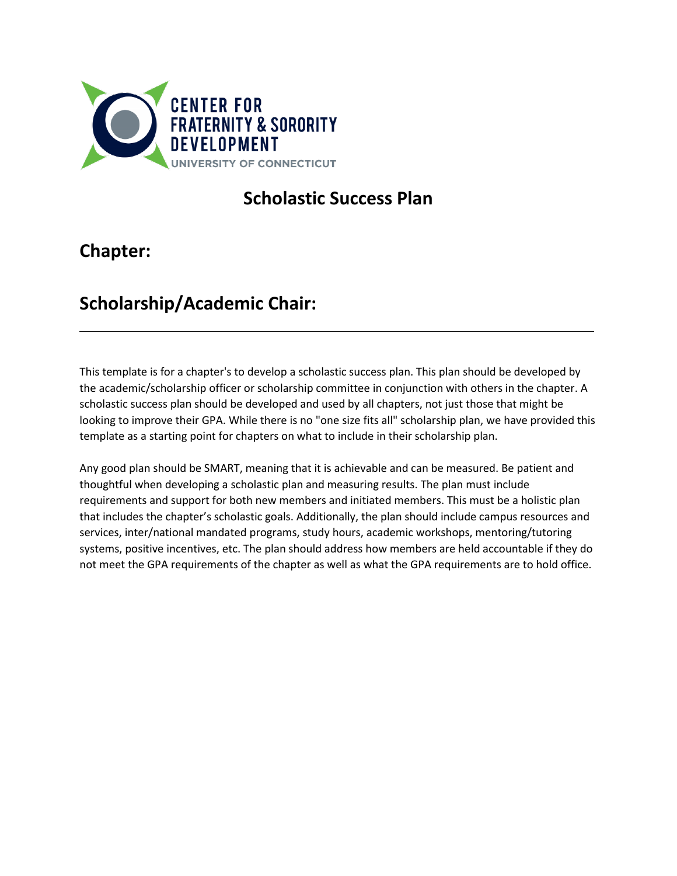

# **Scholastic Success Plan**

# **Chapter:**

# **Scholarship/Academic Chair:**

This template is for a chapter's to develop a scholastic success plan. This plan should be developed by the academic/scholarship officer or scholarship committee in conjunction with others in the chapter. A scholastic success plan should be developed and used by all chapters, not just those that might be looking to improve their GPA. While there is no "one size fits all" scholarship plan, we have provided this template as a starting point for chapters on what to include in their scholarship plan.

Any good plan should be SMART, meaning that it is achievable and can be measured. Be patient and thoughtful when developing a scholastic plan and measuring results. The plan must include requirements and support for both new members and initiated members. This must be a holistic plan that includes the chapter's scholastic goals. Additionally, the plan should include campus resources and services, inter/national mandated programs, study hours, academic workshops, mentoring/tutoring systems, positive incentives, etc. The plan should address how members are held accountable if they do not meet the GPA requirements of the chapter as well as what the GPA requirements are to hold office.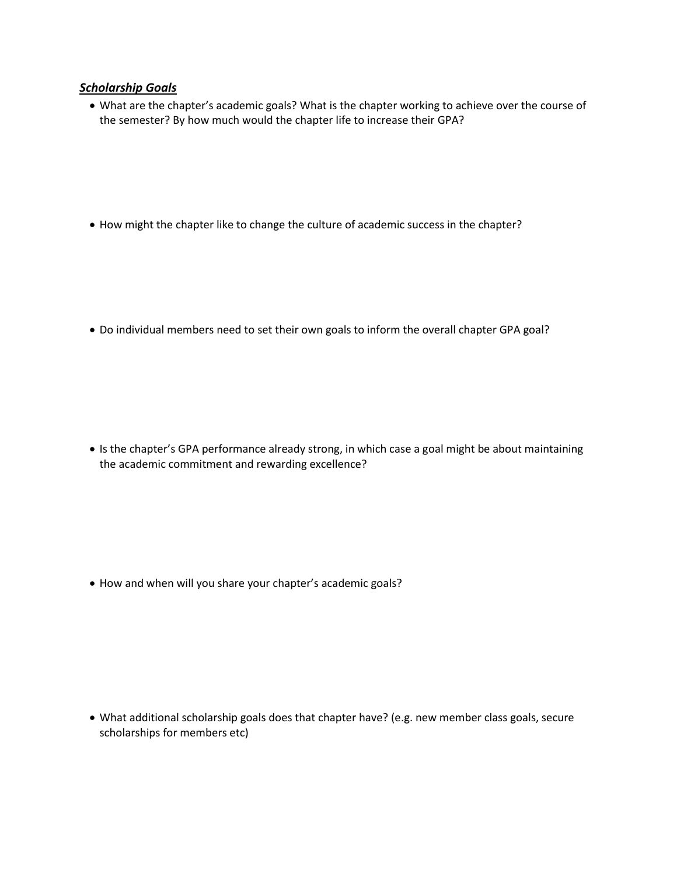### *Scholarship Goals*

• What are the chapter's academic goals? What is the chapter working to achieve over the course of the semester? By how much would the chapter life to increase their GPA?

• How might the chapter like to change the culture of academic success in the chapter?

• Do individual members need to set their own goals to inform the overall chapter GPA goal?

• Is the chapter's GPA performance already strong, in which case a goal might be about maintaining the academic commitment and rewarding excellence?

• How and when will you share your chapter's academic goals?

• What additional scholarship goals does that chapter have? (e.g. new member class goals, secure scholarships for members etc)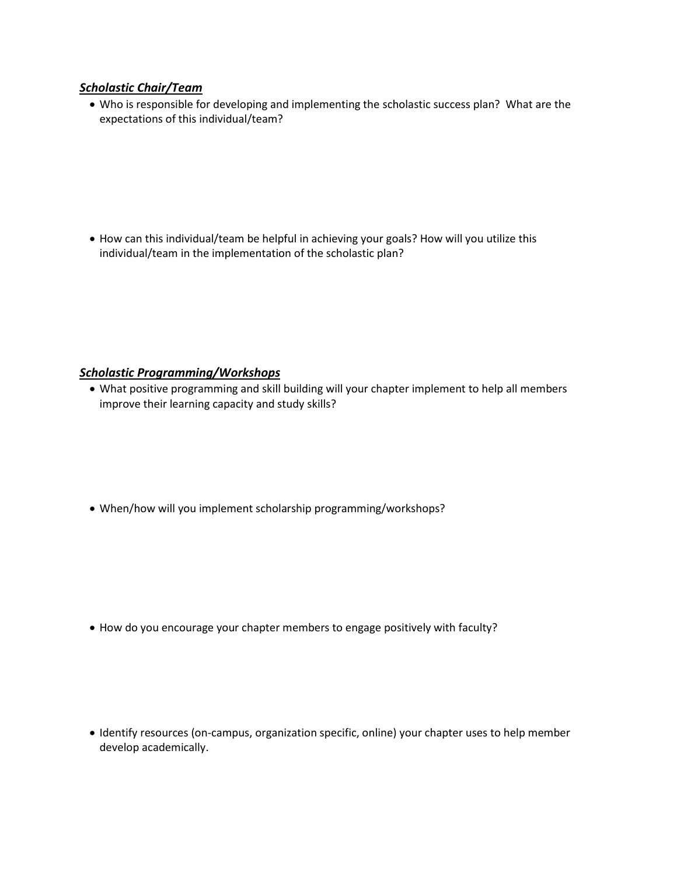### *Scholastic Chair/Team*

• Who is responsible for developing and implementing the scholastic success plan? What are the expectations of this individual/team?

• How can this individual/team be helpful in achieving your goals? How will you utilize this individual/team in the implementation of the scholastic plan?

## *Scholastic Programming/Workshops*

• What positive programming and skill building will your chapter implement to help all members improve their learning capacity and study skills?

• When/how will you implement scholarship programming/workshops?

• How do you encourage your chapter members to engage positively with faculty?

• Identify resources (on-campus, organization specific, online) your chapter uses to help member develop academically.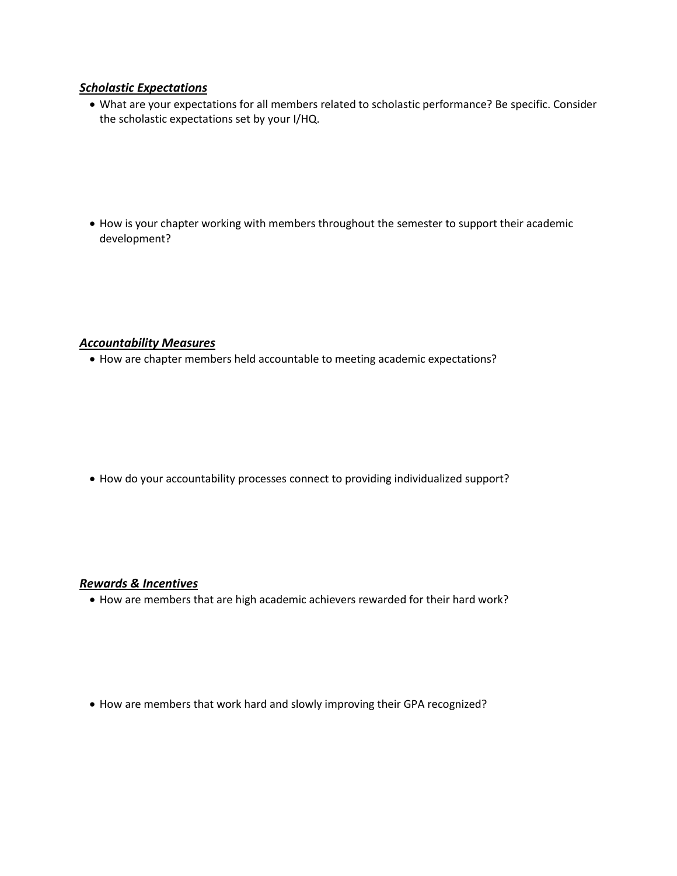### *Scholastic Expectations*

• What are your expectations for all members related to scholastic performance? Be specific. Consider the scholastic expectations set by your I/HQ.

• How is your chapter working with members throughout the semester to support their academic development?

### *Accountability Measures*

• How are chapter members held accountable to meeting academic expectations?

• How do your accountability processes connect to providing individualized support?

#### *Rewards & Incentives*

• How are members that are high academic achievers rewarded for their hard work?

• How are members that work hard and slowly improving their GPA recognized?